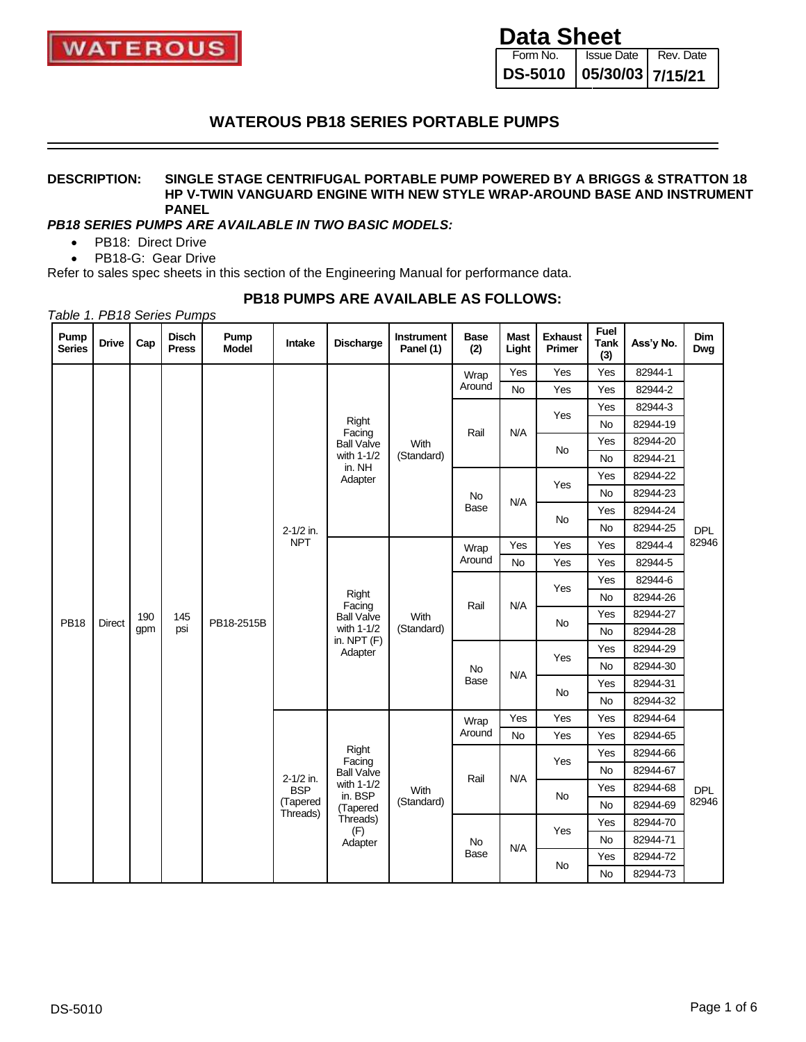

Form No. **DS-5010** Issue Date | Rev. Date **05/30/03 7/15/21**

## **WATEROUS PB18 SERIES PORTABLE PUMPS**

#### **DESCRIPTION: SINGLE STAGE CENTRIFUGAL PORTABLE PUMP POWERED BY A BRIGGS & STRATTON 18 HP V-TWIN VANGUARD ENGINE WITH NEW STYLE WRAP-AROUND BASE AND INSTRUMENT PANEL**

### *PB18 SERIES PUMPS ARE AVAILABLE IN TWO BASIC MODELS:*

- PB18: Direct Drive
- PB18-G: Gear Drive

Refer to sales spec sheets in this section of the Engineering Manual for performance data.

### **PB18 PUMPS ARE AVAILABLE AS FOLLOWS:**

*Table 1. PB18 Series Pumps*

| Pump<br><b>Series</b> | <b>Drive</b>                               | Cap | <b>Disch</b><br><b>Press</b> | Pump<br><b>Model</b> | Intake               | <b>Discharge</b>                                           | <b>Instrument</b><br>Panel (1) | <b>Base</b><br>(2) | <b>Mast</b><br>Light | <b>Exhaust</b><br>Primer | Fuel<br><b>Tank</b><br>(3) | Ass'y No. | <b>Dim</b><br>Dwg |          |           |          |  |  |             |
|-----------------------|--------------------------------------------|-----|------------------------------|----------------------|----------------------|------------------------------------------------------------|--------------------------------|--------------------|----------------------|--------------------------|----------------------------|-----------|-------------------|----------|-----------|----------|--|--|-------------|
|                       |                                            |     |                              |                      |                      |                                                            |                                | Wrap               | Yes                  | Yes                      | Yes                        | 82944-1   |                   |          |           |          |  |  |             |
|                       |                                            |     |                              |                      |                      |                                                            |                                | Around             | No                   | Yes                      | Yes                        | 82944-2   |                   |          |           |          |  |  |             |
|                       |                                            |     |                              |                      |                      |                                                            |                                |                    |                      | Yes                      | Yes                        | 82944-3   |                   |          |           |          |  |  |             |
|                       |                                            |     |                              |                      |                      | Right<br>Facing                                            |                                | Rail               | N/A                  |                          | <b>No</b>                  | 82944-19  |                   |          |           |          |  |  |             |
|                       |                                            |     |                              |                      |                      | <b>Ball Valve</b>                                          | With                           |                    |                      | <b>No</b>                | Yes                        | 82944-20  |                   |          |           |          |  |  |             |
|                       |                                            |     |                              |                      |                      | with 1-1/2<br>in. NH                                       | (Standard)                     |                    |                      |                          | <b>No</b>                  | 82944-21  |                   |          |           |          |  |  |             |
|                       |                                            |     |                              |                      |                      | Adapter                                                    |                                |                    |                      | Yes                      | Yes                        | 82944-22  |                   |          |           |          |  |  |             |
|                       |                                            |     |                              |                      |                      |                                                            |                                | No                 | N/A                  |                          | <b>No</b>                  | 82944-23  |                   |          |           |          |  |  |             |
|                       |                                            |     |                              |                      |                      |                                                            |                                | <b>Base</b>        |                      | No                       | Yes                        | 82944-24  |                   |          |           |          |  |  |             |
|                       |                                            |     |                              |                      | 2-1/2 in.            |                                                            |                                |                    |                      |                          | <b>No</b>                  | 82944-25  | <b>DPL</b>        |          |           |          |  |  |             |
|                       |                                            |     |                              |                      | <b>NPT</b>           |                                                            |                                | Wrap               | Yes                  | Yes                      | Yes                        | 82944-4   | 82946             |          |           |          |  |  |             |
|                       |                                            |     |                              |                      |                      |                                                            | Around                         |                    | <b>No</b>            | Yes                      | Yes                        | 82944-5   |                   |          |           |          |  |  |             |
|                       | 190<br><b>PB18</b><br><b>Direct</b><br>gpm |     |                              |                      |                      |                                                            |                                |                    | Yes                  | Yes                      | 82944-6                    |           |                   |          |           |          |  |  |             |
|                       |                                            |     |                              |                      | Right<br>Facing      |                                                            | Rail                           | N/A                |                      | <b>No</b>                | 82944-26                   |           |                   |          |           |          |  |  |             |
|                       |                                            |     | 145                          | PB18-2515B           |                      | <b>Ball Valve</b><br>with 1-1/2<br>in. $NPT(F)$<br>Adapter | With<br>(Standard)             |                    |                      | <b>No</b>                | Yes                        | 82944-27  |                   |          |           |          |  |  |             |
|                       |                                            | psi |                              |                      |                      |                                                            |                                |                    |                      |                          | <b>No</b>                  | 82944-28  |                   |          |           |          |  |  |             |
|                       |                                            |     |                              |                      |                      |                                                            |                                |                    |                      |                          |                            | Yes       | Yes               | 82944-29 |           |          |  |  |             |
|                       |                                            |     |                              |                      |                      |                                                            |                                |                    |                      |                          |                            | No        | N/A               |          | <b>No</b> | 82944-30 |  |  |             |
|                       |                                            |     |                              |                      |                      |                                                            |                                |                    |                      |                          |                            |           |                   |          |           |          |  |  | <b>Base</b> |
|                       |                                            |     |                              |                      |                      |                                                            |                                |                    |                      |                          | <b>No</b>                  | 82944-32  |                   |          |           |          |  |  |             |
|                       |                                            |     |                              |                      |                      |                                                            |                                | Wrap               | Yes                  | Yes                      | Yes                        | 82944-64  |                   |          |           |          |  |  |             |
|                       |                                            |     |                              |                      |                      |                                                            |                                | Around             | No                   | Yes                      | Yes                        | 82944-65  |                   |          |           |          |  |  |             |
|                       |                                            |     |                              |                      |                      | Right<br>Facing                                            |                                |                    |                      | Yes                      | Yes                        | 82944-66  | <b>DPL</b>        |          |           |          |  |  |             |
|                       |                                            |     |                              |                      | 2-1/2 in.            | <b>Ball Valve</b>                                          |                                | Rail               | N/A                  |                          | <b>No</b>                  | 82944-67  |                   |          |           |          |  |  |             |
|                       |                                            |     |                              |                      | <b>BSP</b>           | with 1-1/2<br>in. BSP                                      | With                           |                    |                      | <b>No</b>                | Yes                        | 82944-68  |                   |          |           |          |  |  |             |
|                       |                                            |     |                              |                      | (Tapered<br>Threads) | (Tapered                                                   | (Standard)                     |                    |                      |                          |                            | <b>No</b> | 82944-69          | 82946    |           |          |  |  |             |
|                       |                                            |     |                              |                      |                      | Threads)<br>(F)                                            |                                |                    |                      | Yes                      | Yes                        | 82944-70  |                   |          |           |          |  |  |             |
|                       |                                            |     |                              |                      |                      | Adapter                                                    |                                | No                 |                      |                          |                            | <b>No</b> | 82944-71          |          |           |          |  |  |             |
|                       |                                            |     |                              |                      |                      |                                                            |                                | <b>Base</b>        | N/A                  | No                       | Yes                        | 82944-72  |                   |          |           |          |  |  |             |
|                       |                                            |     |                              |                      |                      |                                                            |                                |                    |                      |                          |                            | <b>No</b> | 82944-73          |          |           |          |  |  |             |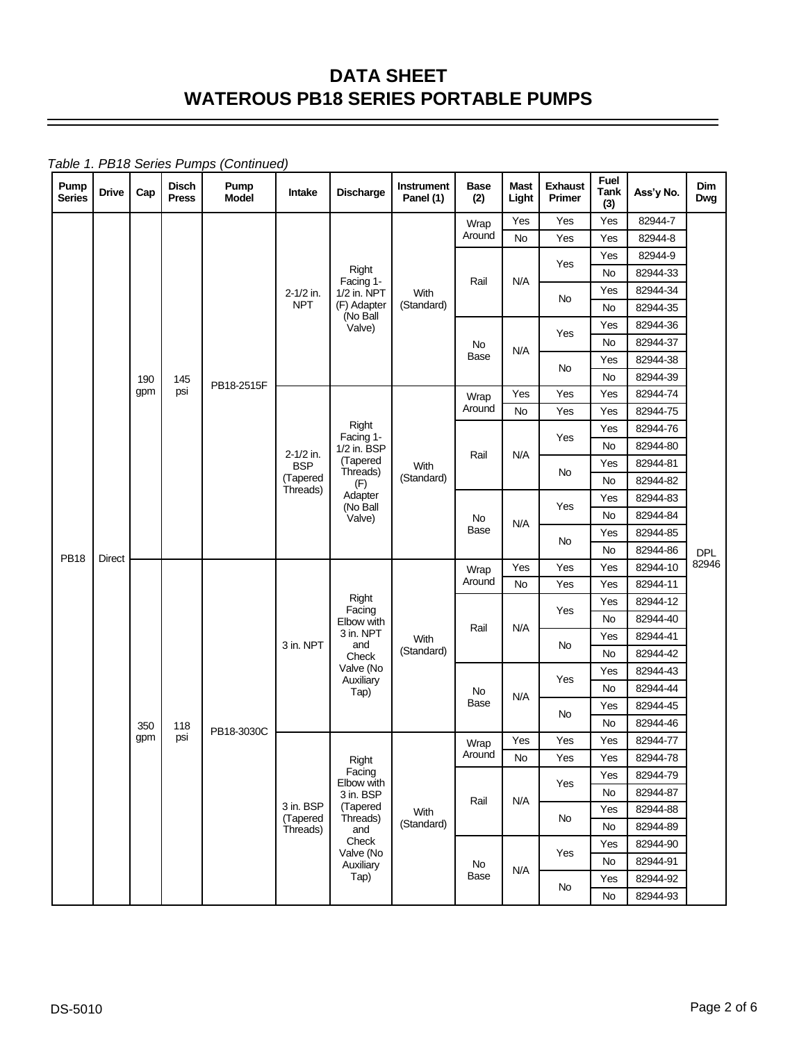*Table 1. PB18 Series Pumps (Continued)*

| Pump<br><b>Disch</b><br>Pump<br>Mast<br><b>Instrument</b><br><b>Base</b><br><b>Drive</b><br>Cap<br>Discharge<br>Intake<br><b>Model</b><br><b>Series</b><br><b>Press</b><br>Panel (1)<br>(2)<br>Light | Fuel<br><b>Exhaust</b><br><b>Tank</b><br>Primer<br>(3) | Ass'y No.            | Dim<br>Dwg |
|------------------------------------------------------------------------------------------------------------------------------------------------------------------------------------------------------|--------------------------------------------------------|----------------------|------------|
| Yes<br>Wrap                                                                                                                                                                                          | Yes<br>Yes                                             | 82944-7              |            |
| Around<br><b>No</b>                                                                                                                                                                                  | Yes<br>Yes                                             | 82944-8              |            |
|                                                                                                                                                                                                      | Yes<br>Yes                                             | 82944-9              |            |
| Right<br>Facing 1-<br>N/A<br>Rail                                                                                                                                                                    | No                                                     | 82944-33             |            |
| 1/2 in. NPT<br>2-1/2 in.<br>With<br><b>NPT</b><br>(F) Adapter<br>(Standard)                                                                                                                          | Yes<br>No                                              | 82944-34             |            |
| (No Ball                                                                                                                                                                                             | No                                                     | 82944-35             |            |
| Valve)                                                                                                                                                                                               | Yes<br>Yes                                             | 82944-36             |            |
| No<br>N/A<br>Base                                                                                                                                                                                    | No<br>Yes                                              | 82944-37<br>82944-38 |            |
|                                                                                                                                                                                                      | No<br>No                                               | 82944-39             |            |
| 190<br>145<br>PB18-2515F<br>gpm<br>psi<br>Yes                                                                                                                                                        | Yes<br>Yes                                             | 82944-74             |            |
| Wrap<br>Around<br><b>No</b>                                                                                                                                                                          | Yes<br>Yes                                             | 82944-75             |            |
| Right                                                                                                                                                                                                | Yes                                                    | 82944-76             |            |
| Facing 1-<br>1/2 in. BSP                                                                                                                                                                             | Yes<br>No                                              | 82944-80             |            |
| 2-1/2 in.<br>N/A<br>Rail<br>(Tapered<br><b>BSP</b><br>With                                                                                                                                           | Yes                                                    | 82944-81             |            |
| Threads)<br>(Tapered<br>(Standard)<br>(F)                                                                                                                                                            | No<br>No                                               | 82944-82             |            |
| Threads)<br>Adapter                                                                                                                                                                                  | Yes                                                    | 82944-83             |            |
| (No Ball<br>Valve)<br>No                                                                                                                                                                             | Yes<br>No                                              | 82944-84             |            |
| N/A<br>Base                                                                                                                                                                                          | Yes                                                    | 82944-85             |            |
| <b>PB18</b>                                                                                                                                                                                          | No<br>No                                               | 82944-86             | <b>DPL</b> |
| Direct<br>Yes<br>Wrap                                                                                                                                                                                | Yes<br>Yes                                             | 82944-10             | 82946      |
| Around<br>No                                                                                                                                                                                         | Yes<br>Yes                                             | 82944-11             |            |
| Right<br>Facing                                                                                                                                                                                      | Yes<br>Yes                                             | 82944-12             |            |
| Elbow with<br>Rail<br>N/A                                                                                                                                                                            | No                                                     | 82944-40             |            |
| 3 in. NPT<br>With<br>3 in. NPT<br>and                                                                                                                                                                | Yes<br>No                                              | 82944-41             |            |
| (Standard)<br>Check                                                                                                                                                                                  | No                                                     | 82944-42             |            |
| Valve (No<br>Auxiliary                                                                                                                                                                               | Yes<br>Yes                                             | 82944-43             |            |
| Tap)<br>No<br>N/A                                                                                                                                                                                    | No                                                     | 82944-44             |            |
| Base                                                                                                                                                                                                 | Yes<br>No                                              | 82944-45             |            |
| 350<br>118<br>PB18-3030C                                                                                                                                                                             | No                                                     | 82944-46             |            |
| psi<br>gpm<br>Yes<br>Wrap<br>Around                                                                                                                                                                  | Yes<br>Yes                                             | 82944-77             |            |
| No<br>Right<br>Facing                                                                                                                                                                                | Yes<br>Yes                                             | 82944-78             |            |
| Elbow with                                                                                                                                                                                           | Yes<br>Yes                                             | 82944-79             |            |
| 3 in. BSP<br>Rail<br>N/A<br>3 in. BSP<br>(Tapered                                                                                                                                                    | No                                                     | 82944-87             |            |
| With<br>(Tapered<br>Threads)<br>(Standard)                                                                                                                                                           | Yes<br>No<br>No                                        | 82944-88<br>82944-89 |            |
| Threads)<br>and<br>Check                                                                                                                                                                             | Yes                                                    | 82944-90             |            |
| Valve (No                                                                                                                                                                                            | Yes<br>No                                              | 82944-91             |            |
| No<br>Auxiliary<br>N/A<br>Tap)<br>Base                                                                                                                                                               | Yes                                                    | 82944-92             |            |
|                                                                                                                                                                                                      | No<br>No                                               | 82944-93             |            |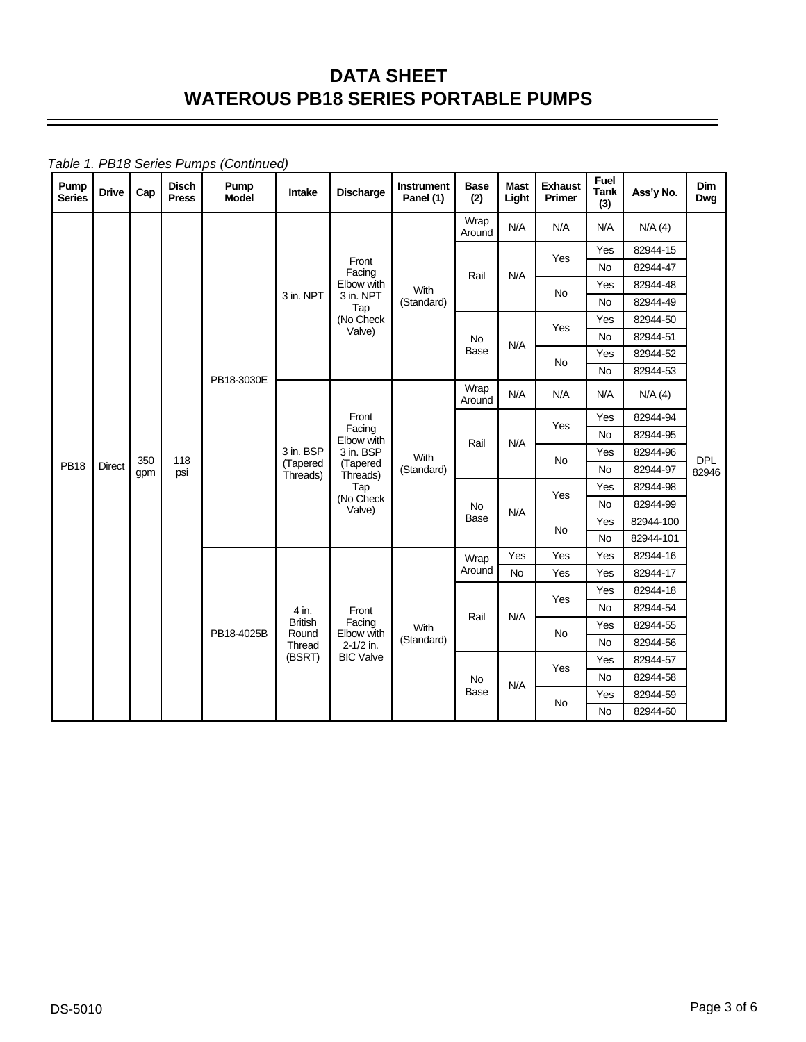*Table 1. PB18 Series Pumps (Continued)*

| Pump<br><b>Series</b> | <b>Drive</b>  | Cap | <b>Disch</b><br><b>Press</b> | Pump<br><b>Model</b> | Intake                  | <b>Discharge</b>                                                                                                       | <b>Instrument</b><br>Panel (1) | Base<br>(2)    | <b>Mast</b><br>Light | <b>Exhaust</b><br>Primer | Fuel<br><b>Tank</b><br>(3) | Ass'y No.            | <b>Dim</b><br>Dwg |  |
|-----------------------|---------------|-----|------------------------------|----------------------|-------------------------|------------------------------------------------------------------------------------------------------------------------|--------------------------------|----------------|----------------------|--------------------------|----------------------------|----------------------|-------------------|--|
|                       |               |     |                              |                      |                         |                                                                                                                        |                                | Wrap<br>Around | N/A                  | N/A                      | N/A                        | N/A(4)               |                   |  |
|                       |               |     |                              |                      |                         |                                                                                                                        |                                |                |                      | Yes                      | Yes                        | 82944-15             |                   |  |
|                       |               |     |                              |                      |                         | Front<br>Facing                                                                                                        |                                | Rail           | N/A                  |                          | No                         | 82944-47             |                   |  |
|                       |               |     |                              |                      | 3 in. NPT               | Elbow with<br>3 in. NPT                                                                                                | With                           |                |                      | No                       | Yes                        | 82944-48             |                   |  |
|                       |               |     |                              |                      |                         | Tap                                                                                                                    | (Standard)                     |                |                      |                          | <b>No</b>                  | 82944-49             |                   |  |
|                       |               |     |                              |                      |                         | (No Check<br>Valve)                                                                                                    |                                |                |                      | Yes                      | Yes                        | 82944-50             |                   |  |
|                       |               |     |                              |                      |                         |                                                                                                                        |                                | <b>No</b>      | N/A                  |                          | No                         | 82944-51             |                   |  |
|                       |               |     |                              |                      |                         |                                                                                                                        |                                | <b>Base</b>    |                      | <b>No</b>                | Yes                        | 82944-52             |                   |  |
|                       |               |     |                              | PB18-3030E           |                         |                                                                                                                        |                                |                |                      |                          | <b>No</b>                  | 82944-53             |                   |  |
|                       |               |     |                              |                      |                         |                                                                                                                        | Wrap<br>Around                 | N/A            | N/A                  | N/A                      | N/A(4)                     |                      |                   |  |
|                       |               |     |                              |                      |                         | Front<br>Facing<br>Elbow with<br>3 in. BSP<br>With<br>(Tapered<br>(Standard)<br>Threads)<br>Tap<br>(No Check<br>Valve) |                                |                |                      | Yes                      | Yes                        | 82944-94             |                   |  |
|                       |               |     |                              |                      |                         |                                                                                                                        |                                | Rail           | N/A                  |                          | <b>No</b>                  | 82944-95             |                   |  |
|                       |               | 350 | 118                          |                      | 3 in. BSP<br>(Tapered   |                                                                                                                        |                                |                |                      | No                       | Yes                        | 82944-96             | <b>DPL</b>        |  |
| <b>PB18</b>           | <b>Direct</b> | gpm | psi                          |                      | Threads)                |                                                                                                                        |                                |                |                      |                          | <b>No</b>                  | 82944-97             | 82946             |  |
|                       |               |     |                              |                      |                         |                                                                                                                        |                                |                | Yes                  | Yes                      | 82944-98                   |                      |                   |  |
|                       |               |     |                              |                      |                         |                                                                                                                        | No<br>Base                     |                | N/A                  |                          | <b>No</b>                  | 82944-99             |                   |  |
|                       |               |     |                              |                      |                         |                                                                                                                        |                                |                | <b>No</b>            | Yes                      | 82944-100                  |                      |                   |  |
|                       |               |     |                              |                      |                         |                                                                                                                        |                                |                |                      |                          | <b>No</b>                  | 82944-101            |                   |  |
|                       |               |     |                              |                      |                         |                                                                                                                        |                                | Wrap<br>Around | Yes<br><b>No</b>     | Yes                      | Yes                        | 82944-16             |                   |  |
|                       |               |     |                              |                      |                         |                                                                                                                        |                                |                |                      | Yes                      | Yes<br>Yes                 | 82944-17<br>82944-18 |                   |  |
|                       |               |     |                              |                      |                         |                                                                                                                        |                                |                |                      | Yes                      | No                         | 82944-54             |                   |  |
|                       |               |     |                              |                      | 4 in.<br><b>British</b> | Front<br>Facing                                                                                                        |                                | Rail           | N/A                  |                          | Yes                        | 82944-55             |                   |  |
|                       |               |     |                              | PB18-4025B           | Round                   | Elbow with                                                                                                             | With<br>(Standard)             |                |                      | <b>No</b>                | <b>No</b>                  | 82944-56             |                   |  |
|                       |               |     |                              |                      | Thread<br>(BSRT)        | $2 - 1/2$ in.<br><b>BIC Valve</b>                                                                                      |                                |                |                      |                          | Yes                        | 82944-57             |                   |  |
|                       |               |     |                              |                      |                         |                                                                                                                        |                                | <b>No</b>      |                      | Yes                      | No                         | 82944-58             |                   |  |
|                       |               |     |                              |                      |                         |                                                                                                                        |                                | <b>Base</b>    | N/A                  |                          |                            | Yes                  | 82944-59          |  |
|                       |               |     |                              |                      |                         |                                                                                                                        |                                |                |                      | No                       | No                         | 82944-60             |                   |  |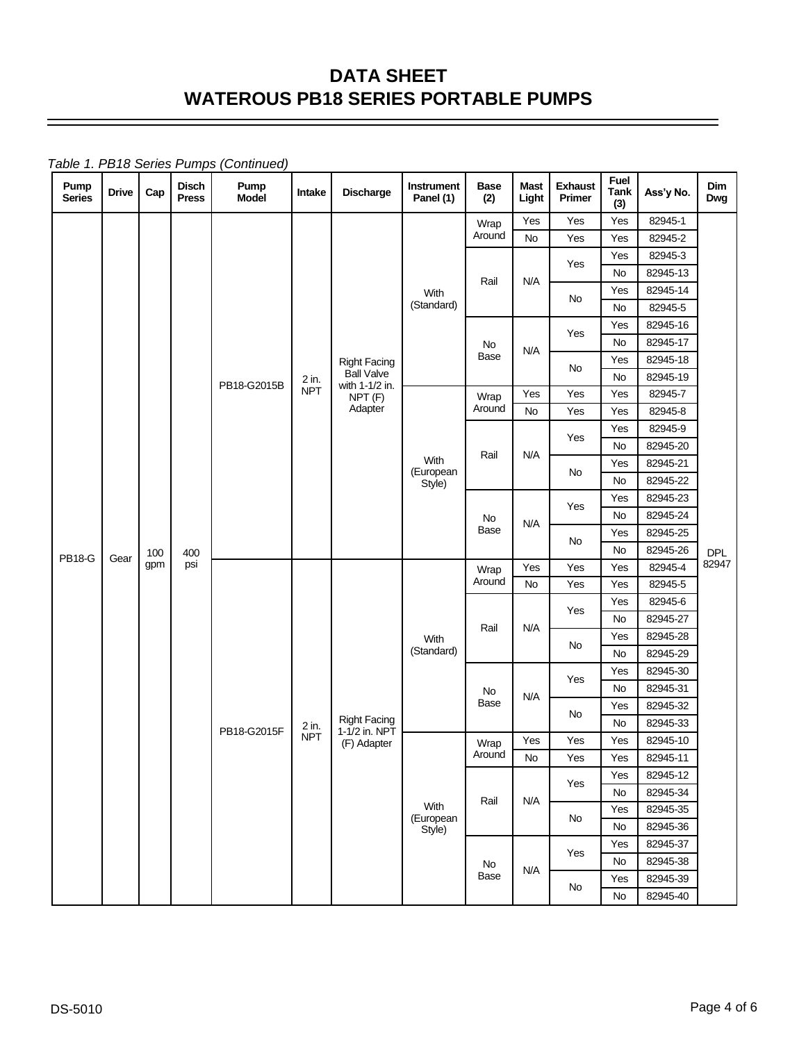| Pump<br><b>Series</b> | <b>Drive</b> | Cap        | <b>Disch</b><br><b>Press</b> | Pump<br>Model | Intake             | <b>Discharge</b>                     | Instrument<br>Panel (1)     | <b>Base</b><br>(2) | <b>Mast</b><br>Light | <b>Exhaust</b><br>Primer | Fuel<br><b>Tank</b><br>(3) | Ass'y No.           | Dim<br>Dwg |     |          |     |          |  |
|-----------------------|--------------|------------|------------------------------|---------------|--------------------|--------------------------------------|-----------------------------|--------------------|----------------------|--------------------------|----------------------------|---------------------|------------|-----|----------|-----|----------|--|
|                       |              |            |                              |               |                    |                                      |                             | Wrap               | Yes                  | Yes                      | Yes                        | 82945-1             |            |     |          |     |          |  |
|                       |              |            |                              |               |                    |                                      | Around                      | <b>No</b>          | Yes                  | Yes                      | 82945-2                    |                     |            |     |          |     |          |  |
|                       |              |            |                              |               |                    |                                      |                             |                    |                      |                          | Yes                        | Yes                 | 82945-3    |     |          |     |          |  |
|                       |              |            |                              |               |                    |                                      |                             | Rail               | N/A                  |                          | No                         | 82945-13            |            |     |          |     |          |  |
|                       |              |            |                              |               |                    |                                      | With<br>(Standard)          |                    |                      | No                       | Yes<br>No                  | 82945-14<br>82945-5 |            |     |          |     |          |  |
|                       |              |            |                              |               |                    |                                      |                             |                    |                      |                          |                            |                     |            | Yes | 82945-16 |     |          |  |
|                       |              |            |                              |               |                    |                                      |                             | No                 |                      | Yes                      | No                         | 82945-17            |            |     |          |     |          |  |
|                       |              |            |                              |               |                    | <b>Right Facing</b>                  |                             | Base               | N/A                  |                          | Yes                        | 82945-18            |            |     |          |     |          |  |
|                       |              |            |                              |               | 2 in.              | <b>Ball Valve</b>                    |                             |                    |                      | No                       | <b>No</b>                  | 82945-19            |            |     |          |     |          |  |
|                       |              |            |                              | PB18-G2015B   | <b>NPT</b>         | with 1-1/2 in.<br>NPT <sub>(F)</sub> |                             | Wrap               | Yes                  | Yes                      | Yes                        | 82945-7             |            |     |          |     |          |  |
|                       |              |            |                              |               |                    | Adapter                              |                             | Around             | No                   | Yes                      | Yes                        | 82945-8             |            |     |          |     |          |  |
|                       |              |            |                              |               |                    |                                      |                             |                    |                      | Yes                      | Yes                        | 82945-9             |            |     |          |     |          |  |
|                       |              |            |                              |               |                    |                                      |                             | Rail               | N/A                  |                          | No                         | 82945-20            |            |     |          |     |          |  |
|                       |              |            |                              |               |                    |                                      | With<br>(European<br>Style) |                    |                      | No                       | Yes                        | 82945-21            |            |     |          |     |          |  |
|                       |              |            |                              |               |                    |                                      |                             |                    |                      |                          | No                         | 82945-22            |            |     |          |     |          |  |
|                       |              |            |                              |               |                    |                                      |                             | Yes                | Yes                  | 82945-23                 |                            |                     |            |     |          |     |          |  |
|                       |              |            |                              |               |                    | No                                   | N/A                         |                    | No                   | 82945-24                 |                            |                     |            |     |          |     |          |  |
|                       |              |            |                              | 400           |                    |                                      |                             | Base               |                      | No                       | Yes                        | 82945-25            |            |     |          |     |          |  |
| <b>PB18-G</b>         | Gear         | 100<br>gpm | psi                          |               |                    |                                      |                             |                    |                      | No                       | 82945-26                   | <b>DPL</b><br>82947 |            |     |          |     |          |  |
|                       |              |            |                              |               |                    |                                      |                             | Wrap<br>Around     | Yes                  | Yes                      | Yes                        | 82945-4             |            |     |          |     |          |  |
|                       |              |            |                              |               |                    |                                      |                             |                    | No                   | Yes                      | Yes                        | 82945-5             |            |     |          |     |          |  |
|                       |              |            |                              |               |                    |                                      |                             | Rail               |                      | Yes                      | Yes<br><b>No</b>           | 82945-6<br>82945-27 |            |     |          |     |          |  |
|                       |              |            |                              |               |                    |                                      |                             |                    | N/A                  |                          | Yes                        | 82945-28            |            |     |          |     |          |  |
|                       |              |            |                              |               | With<br>(Standard) |                                      |                             | No                 | No                   | 82945-29                 |                            |                     |            |     |          |     |          |  |
|                       |              |            |                              |               |                    |                                      |                             |                    |                      |                          | Yes                        | 82945-30            |            |     |          |     |          |  |
|                       |              |            |                              |               |                    |                                      |                             | No                 |                      | Yes                      | No                         | 82945-31            |            |     |          |     |          |  |
|                       |              |            |                              |               |                    |                                      |                             | Base               | N/A                  |                          | Yes                        | 82945-32            |            |     |          |     |          |  |
|                       |              |            |                              |               | 2 in.              | <b>Right Facing</b><br>1-1/2 in. NPT |                             |                    |                      | No                       | No                         | 82945-33            |            |     |          |     |          |  |
|                       |              |            |                              | PB18-G2015F   | <b>NPT</b>         | (F) Adapter                          |                             | Wrap               | Yes                  | Yes                      | Yes                        | 82945-10            |            |     |          |     |          |  |
|                       |              |            |                              |               |                    |                                      |                             | Around             | No                   | Yes                      | Yes                        | 82945-11            |            |     |          |     |          |  |
|                       |              |            |                              |               |                    |                                      |                             |                    |                      | Yes                      | Yes                        | 82945-12            |            |     |          |     |          |  |
|                       |              |            |                              |               |                    |                                      |                             | Rail               | N/A                  |                          | No                         | 82945-34            |            |     |          |     |          |  |
|                       |              |            |                              |               |                    |                                      | With<br>(European           |                    |                      |                          |                            |                     |            |     | No       | Yes | 82945-35 |  |
|                       |              |            |                              |               |                    |                                      | Style)                      |                    |                      |                          | No                         | 82945-36            |            |     |          |     |          |  |
|                       |              |            |                              |               |                    |                                      |                             |                    |                      | Yes                      | Yes                        | 82945-37            |            |     |          |     |          |  |
|                       |              |            |                              |               |                    |                                      |                             | No                 | N/A                  |                          | No                         | 82945-38            |            |     |          |     |          |  |
|                       |              |            |                              |               |                    |                                      |                             | Base               |                      | No                       | Yes                        | 82945-39            |            |     |          |     |          |  |
|                       |              |            |                              |               |                    |                                      |                             |                    |                      | No                       | 82945-40                   |                     |            |     |          |     |          |  |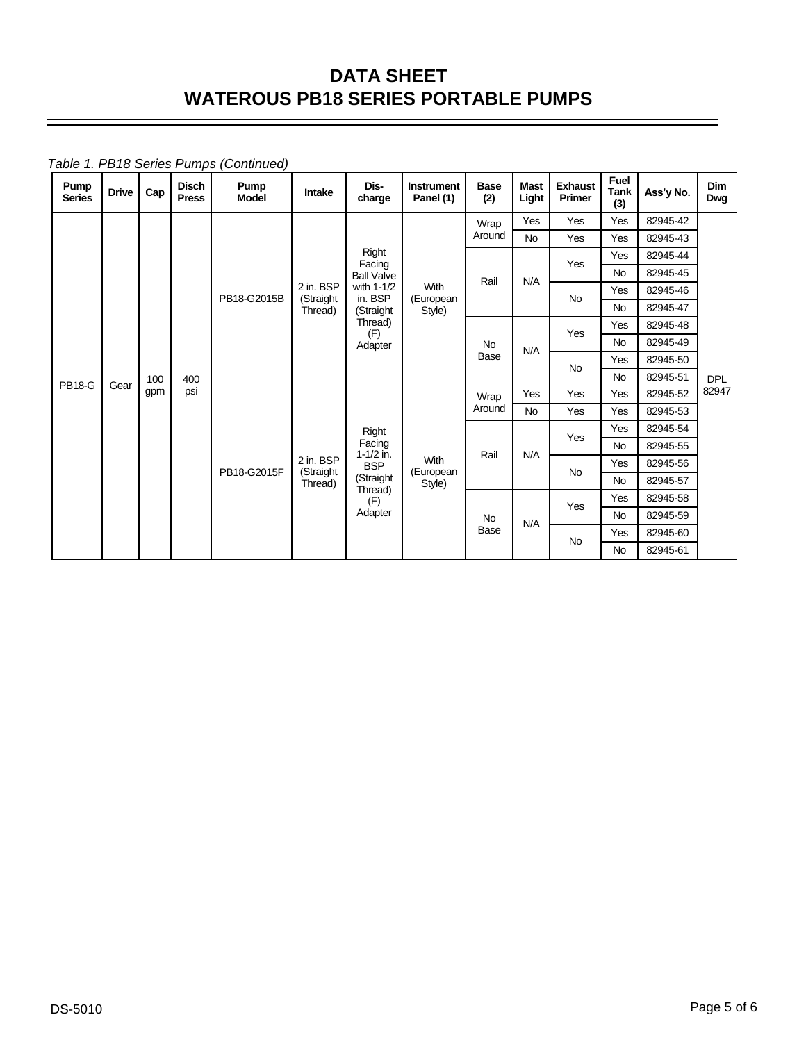*Table 1. PB18 Series Pumps (Continued)*

| Pump<br><b>Series</b> | <b>Drive</b> | Cap        | <b>Disch</b><br><b>Press</b> | Pump<br><b>Model</b> | Intake                 | Dis-<br>charge        | <b>Instrument</b><br>Panel (1) | <b>Base</b><br>(2)       | <b>Mast</b><br>Light | <b>Exhaust</b><br>Primer | <b>Fuel</b><br><b>Tank</b><br>(3) | Ass'y No. | <b>Dim</b><br>Dwg |
|-----------------------|--------------|------------|------------------------------|----------------------|------------------------|-----------------------|--------------------------------|--------------------------|----------------------|--------------------------|-----------------------------------|-----------|-------------------|
|                       |              |            |                              |                      |                        |                       |                                | Wrap                     | Yes                  | Yes                      | Yes                               | 82945-42  |                   |
|                       |              |            |                              |                      |                        |                       |                                | Around                   | <b>No</b>            | Yes                      | Yes                               | 82945-43  |                   |
|                       |              |            |                              |                      |                        | Right<br>Facing       |                                |                          |                      | Yes                      | Yes                               | 82945-44  |                   |
|                       |              |            |                              |                      |                        | <b>Ball Valve</b>     |                                | Rail                     | N/A                  |                          | <b>No</b>                         | 82945-45  |                   |
|                       |              |            |                              | PB18-G2015B          | 2 in. BSP<br>(Straight | with 1-1/2<br>in. BSP | With<br>(European<br>Style)    |                          |                      | <b>No</b>                | Yes                               | 82945-46  |                   |
|                       |              |            |                              |                      | Thread)                | (Straight             |                                |                          |                      |                          | <b>No</b>                         | 82945-47  |                   |
|                       |              |            |                              |                      |                        | Thread)<br>(F)        |                                | <b>No</b><br><b>Base</b> |                      | Yes                      | Yes                               | 82945-48  |                   |
|                       |              |            |                              |                      |                        | Adapter               |                                |                          | N/A                  |                          | <b>No</b>                         | 82945-49  |                   |
|                       |              | 100<br>gpm |                              |                      |                        |                       |                                |                          |                      | <b>No</b>                | Yes                               | 82945-50  |                   |
| <b>PB18-G</b>         | Gear         |            | 400                          |                      |                        |                       |                                |                          |                      |                          | <b>No</b>                         | 82945-51  | <b>DPL</b>        |
|                       |              |            | psi                          |                      |                        | Right                 |                                | Wrap                     | Yes                  | Yes                      | Yes                               | 82945-52  | 82947             |
|                       |              |            |                              |                      |                        |                       |                                | Around                   | <b>No</b>            | Yes                      | Yes                               | 82945-53  |                   |
|                       |              |            |                              |                      |                        |                       |                                | Rail                     | N/A                  | Yes                      | Yes                               | 82945-54  |                   |
|                       |              |            |                              |                      |                        | Facing<br>1-1/2 in.   |                                |                          |                      |                          | <b>No</b>                         | 82945-55  |                   |
|                       |              |            |                              | PB18-G2015F          | 2 in. BSP<br>(Straight | <b>BSP</b>            | With<br>(European              |                          |                      | <b>No</b>                | Yes                               | 82945-56  |                   |
|                       |              |            |                              |                      | Thread)                | (Straight<br>Thread)  | Style)                         |                          |                      |                          | <b>No</b>                         | 82945-57  |                   |
|                       |              |            |                              |                      |                        | (F)                   |                                |                          |                      | Yes                      | Yes                               | 82945-58  |                   |
|                       |              |            |                              |                      |                        | Adapter               |                                | <b>No</b>                | N/A                  |                          | <b>No</b>                         | 82945-59  |                   |
|                       |              |            |                              |                      |                        |                       |                                | <b>Base</b>              |                      | <b>No</b>                | Yes                               | 82945-60  |                   |
|                       |              |            |                              |                      |                        |                       |                                |                          |                      |                          | <b>No</b>                         | 82945-61  |                   |